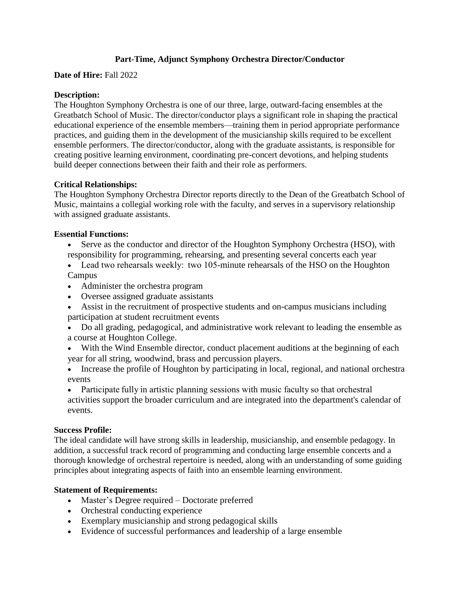# **Part-Time, Adjunct Symphony Orchestra Director/Conductor**

**Date of Hire:** Fall 2022

## **Description:**

The Houghton Symphony Orchestra is one of our three, large, outward-facing ensembles at the Greatbatch School of Music. The director/conductor plays a significant role in shaping the practical educational experience of the ensemble members—training them in period appropriate performance practices, and guiding them in the development of the musicianship skills required to be excellent ensemble performers. The director/conductor, along with the graduate assistants, is responsible for creating positive learning environment, coordinating pre-concert devotions, and helping students build deeper connections between their faith and their role as performers.

## **Critical Relationships:**

The Houghton Symphony Orchestra Director reports directly to the Dean of the Greatbatch School of Music, maintains a collegial working role with the faculty, and serves in a supervisory relationship with assigned graduate assistants.

## **Essential Functions:**

- Serve as the conductor and director of the Houghton Symphony Orchestra (HSO), with responsibility for programming, rehearsing, and presenting several concerts each year
- Lead two rehearsals weekly: two 105-minute rehearsals of the HSO on the Houghton **Campus**
- Administer the orchestra program
- Oversee assigned graduate assistants
- Assist in the recruitment of prospective students and on-campus musicians including participation at student recruitment events
- Do all grading, pedagogical, and administrative work relevant to leading the ensemble as a course at Houghton College.
- With the Wind Ensemble director, conduct placement auditions at the beginning of each year for all string, woodwind, brass and percussion players.
- Increase the profile of Houghton by participating in local, regional, and national orchestra events

• Participate fully in artistic planning sessions with music faculty so that orchestral activities support the broader curriculum and are integrated into the department's calendar of events.

## **Success Profile:**

The ideal candidate will have strong skills in leadership, musicianship, and ensemble pedagogy. In addition, a successful track record of programming and conducting large ensemble concerts and a thorough knowledge of orchestral repertoire is needed, along with an understanding of some guiding principles about integrating aspects of faith into an ensemble learning environment.

## **Statement of Requirements:**

- Master's Degree required Doctorate preferred
- Orchestral conducting experience
- Exemplary musicianship and strong pedagogical skills
- Evidence of successful performances and leadership of a large ensemble